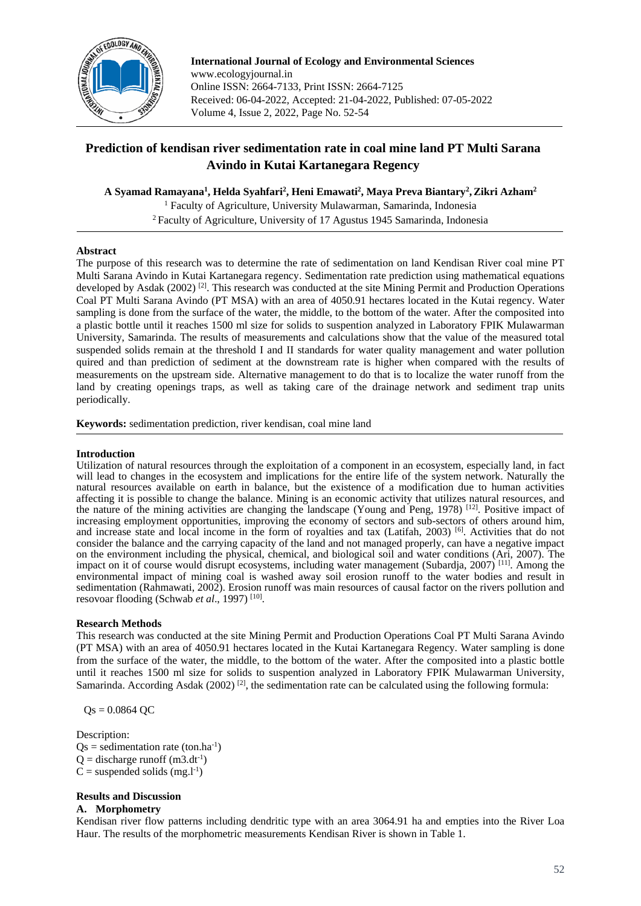

**International Journal of Ecology and Environmental Sciences** www.ecologyjournal.in Online ISSN: 2664-7133, Print ISSN: 2664-7125 Received: 06-04-2022, Accepted: 21-04-2022, Published: 07-05-2022 Volume 4, Issue 2, 2022, Page No. 52-54

# **Prediction of kendisan river sedimentation rate in coal mine land PT Multi Sarana Avindo in Kutai Kartanegara Regency**

**A Syamad Ramayana<sup>1</sup> , Helda Syahfari<sup>2</sup> , Heni Emawati<sup>2</sup> , Maya Preva Biantary<sup>2</sup> ,Zikri Azham<sup>2</sup>**

<sup>1</sup> Faculty of Agriculture, University Mulawarman, Samarinda, Indonesia <sup>2</sup> Faculty of Agriculture, University of 17 Agustus 1945 Samarinda, Indonesia

# **Abstract**

The purpose of this research was to determine the rate of sedimentation on land Kendisan River coal mine PT Multi Sarana Avindo in Kutai Kartanegara regency. Sedimentation rate prediction using mathematical equations developed by Asdak  $(2002)^{2}$ . This research was conducted at the site Mining Permit and Production Operations Coal PT Multi Sarana Avindo (PT MSA) with an area of 4050.91 hectares located in the Kutai regency. Water sampling is done from the surface of the water, the middle, to the bottom of the water. After the composited into a plastic bottle until it reaches 1500 ml size for solids to suspention analyzed in Laboratory FPIK Mulawarman University, Samarinda. The results of measurements and calculations show that the value of the measured total suspended solids remain at the threshold I and II standards for water quality management and water pollution quired and than prediction of sediment at the downstream rate is higher when compared with the results of measurements on the upstream side. Alternative management to do that is to localize the water runoff from the land by creating openings traps, as well as taking care of the drainage network and sediment trap units periodically.

**Keywords:** sedimentation prediction, river kendisan, coal mine land

# **Introduction**

Utilization of natural resources through the exploitation of a component in an ecosystem, especially land, in fact will lead to changes in the ecosystem and implications for the entire life of the system network. Naturally the natural resources available on earth in balance, but the existence of a modification due to human activities affecting it is possible to change the balance. Mining is an economic activity that utilizes natural resources, and the nature of the mining activities are changing the landscape (Young and Peng, 1978) [12]. Positive impact of increasing employment opportunities, improving the economy of sectors and sub-sectors of others around him, and increase state and local income in the form of royalties and tax (Latifah, 2003) [6]. Activities that do not consider the balance and the carrying capacity of the land and not managed properly, can have a negative impact on the environment including the physical, chemical, and biological soil and water conditions (Ari, 2007). The impact on it of course would disrupt ecosystems, including water management (Subardja, 2007)<sup>[11]</sup>. Among the environmental impact of mining coal is washed away soil erosion runoff to the water bodies and result in sedimentation (Rahmawati, 2002). Erosion runoff was main resources of causal factor on the rivers pollution and resovoar flooding (Schwab et al., 1997)<sup>[10]</sup>.

# **Research Methods**

This research was conducted at the site Mining Permit and Production Operations Coal PT Multi Sarana Avindo (PT MSA) with an area of 4050.91 hectares located in the Kutai Kartanegara Regency. Water sampling is done from the surface of the water, the middle, to the bottom of the water. After the composited into a plastic bottle until it reaches 1500 ml size for solids to suspention analyzed in Laboratory FPIK Mulawarman University, Samarinda. According Asdak (2002)<sup>[2]</sup>, the sedimentation rate can be calculated using the following formula:

 $Qs = 0.0864$  QC

Description:  $Qs =$  sedimentation rate (ton.ha<sup>-1</sup>)  $Q =$  discharge runoff (m3.dt<sup>-1</sup>)  $C =$  suspended solids (mg.l<sup>-1</sup>)

# **Results and Discussion**

#### **A. Morphometry**

Kendisan river flow patterns including dendritic type with an area 3064.91 ha and empties into the River Loa Haur. The results of the morphometric measurements Kendisan River is shown in Table 1.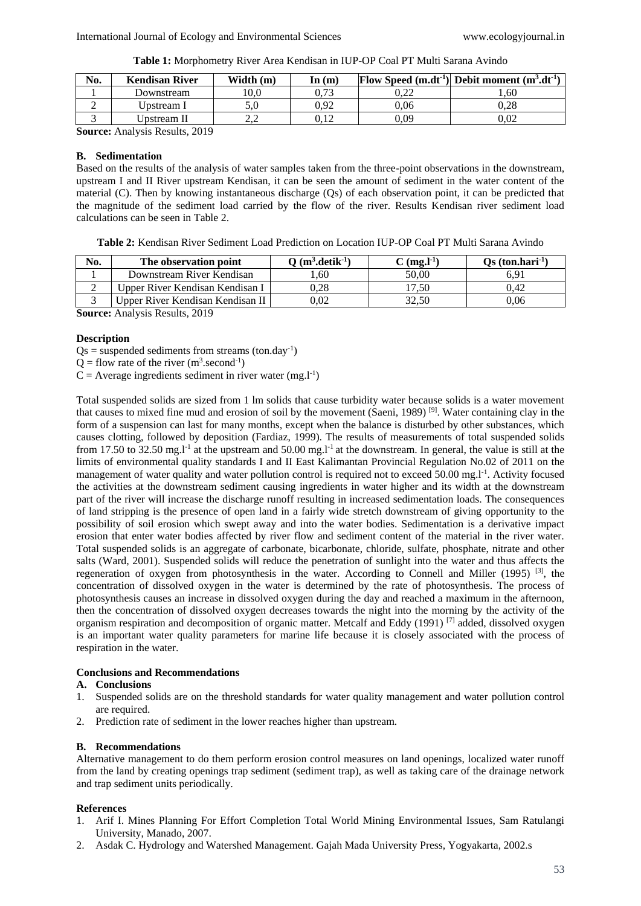**Table 1:** Morphometry River Area Kendisan in IUP-OP Coal PT Multi Sarana Avindo

| <b>Kendisan River</b> | Width $(m)$ | In $(m)$ |      | Flow Speed $(m.dt^{-1})$ Debit moment $(m^3.dt^{-1})$ |
|-----------------------|-------------|----------|------|-------------------------------------------------------|
| Downstream            | 10.0        | 0.73     | 0.22 | .60                                                   |
| Upstream I            | 5.U         | 0.92     | 0.06 | 0.28                                                  |
| Upstream II           |             | ).12     | 0.09 | 0.02                                                  |
|                       |             |          |      |                                                       |

**Source:** Analysis Results, 2019

# **B. Sedimentation**

Based on the results of the analysis of water samples taken from the three-point observations in the downstream, upstream I and II River upstream Kendisan, it can be seen the amount of sediment in the water content of the material (C). Then by knowing instantaneous discharge (Qs) of each observation point, it can be predicted that the magnitude of the sediment load carried by the flow of the river. Results Kendisan river sediment load calculations can be seen in Table 2.

**Table 2:** Kendisan River Sediment Load Prediction on Location IUP-OP Coal PT Multi Sarana Avindo

| No. | The observation point            | $Q(m^3, detik^{-1})$ | C (mg.l <sup>-1</sup> ) | $\mathbf{Q}$ s (ton.hari <sup>-1</sup> ) |
|-----|----------------------------------|----------------------|-------------------------|------------------------------------------|
|     | Downstream River Kendisan        | 60                   | 50.00                   | ና 91                                     |
|     | Upper River Kendisan Kendisan I  | 0.28                 | '7.50                   | 0.42                                     |
|     | Upper River Kendisan Kendisan II |                      | 32.50                   | 0.06                                     |

**Source:** Analysis Results, 2019

### **Description**

 $Qs$  = suspended sediments from streams (ton.day<sup>-1</sup>)

 $Q =$  flow rate of the river  $(m^3 \text{.second}^{-1})$ 

 $C =$  Average ingredients sediment in river water (mg.l<sup>-1</sup>)

Total suspended solids are sized from 1 lm solids that cause turbidity water because solids is a water movement that causes to mixed fine mud and erosion of soil by the movement (Saeni, 1989) [9]. Water containing clay in the form of a suspension can last for many months, except when the balance is disturbed by other substances, which causes clotting, followed by deposition (Fardiaz, 1999). The results of measurements of total suspended solids from 17.50 to 32.50 mg.l<sup>-1</sup> at the upstream and 50.00 mg.l<sup>-1</sup> at the downstream. In general, the value is still at the limits of environmental quality standards I and II East Kalimantan Provincial Regulation No.02 of 2011 on the management of water quality and water pollution control is required not to exceed  $50.00$  mg.l<sup>-1</sup>. Activity focused the activities at the downstream sediment causing ingredients in water higher and its width at the downstream part of the river will increase the discharge runoff resulting in increased sedimentation loads. The consequences of land stripping is the presence of open land in a fairly wide stretch downstream of giving opportunity to the possibility of soil erosion which swept away and into the water bodies. Sedimentation is a derivative impact erosion that enter water bodies affected by river flow and sediment content of the material in the river water. Total suspended solids is an aggregate of carbonate, bicarbonate, chloride, sulfate, phosphate, nitrate and other salts (Ward, 2001). Suspended solids will reduce the penetration of sunlight into the water and thus affects the regeneration of oxygen from photosynthesis in the water. According to Connell and Miller (1995) <sup>[3]</sup>, the concentration of dissolved oxygen in the water is determined by the rate of photosynthesis. The process of photosynthesis causes an increase in dissolved oxygen during the day and reached a maximum in the afternoon, then the concentration of dissolved oxygen decreases towards the night into the morning by the activity of the organism respiration and decomposition of organic matter. Metcalf and Eddy (1991) [7] added, dissolved oxygen is an important water quality parameters for marine life because it is closely associated with the process of respiration in the water.

# **Conclusions and Recommendations**

# **A. Conclusions**

- 1. Suspended solids are on the threshold standards for water quality management and water pollution control are required.
- 2. Prediction rate of sediment in the lower reaches higher than upstream.

# **B. Recommendations**

Alternative management to do them perform erosion control measures on land openings, localized water runoff from the land by creating openings trap sediment (sediment trap), as well as taking care of the drainage network and trap sediment units periodically.

# **References**

- 1. Arif I. Mines Planning For Effort Completion Total World Mining Environmental Issues, Sam Ratulangi University, Manado, 2007.
- 2. Asdak C. Hydrology and Watershed Management. Gajah Mada University Press, Yogyakarta, 2002.s